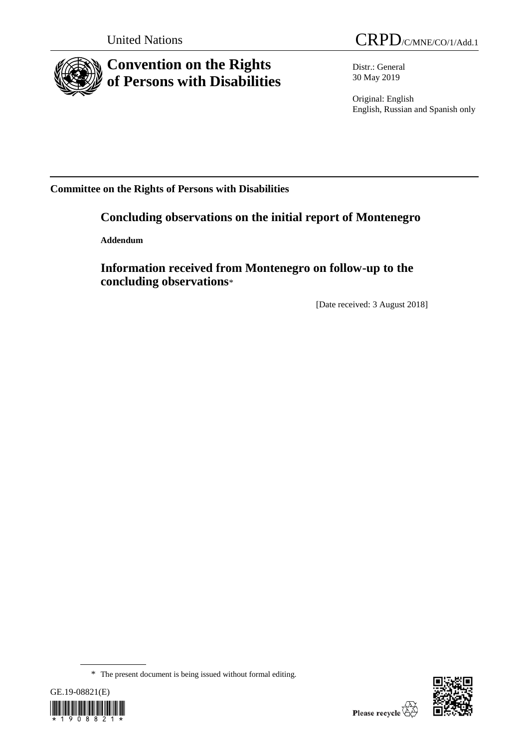

# **Convention on the Rights of Persons with Disabilities**

United Nations CRPD/C/MNE/CO/1/Add.1

Distr.: General 30 May 2019

Original: English English, Russian and Spanish only

**Committee on the Rights of Persons with Disabilities**

# **Concluding observations on the initial report of Montenegro**

**Addendum**

**Information received from Montenegro on follow-up to the concluding observations**\*

[Date received: 3 August 2018]

<sup>\*</sup> The present document is being issued without formal editing.



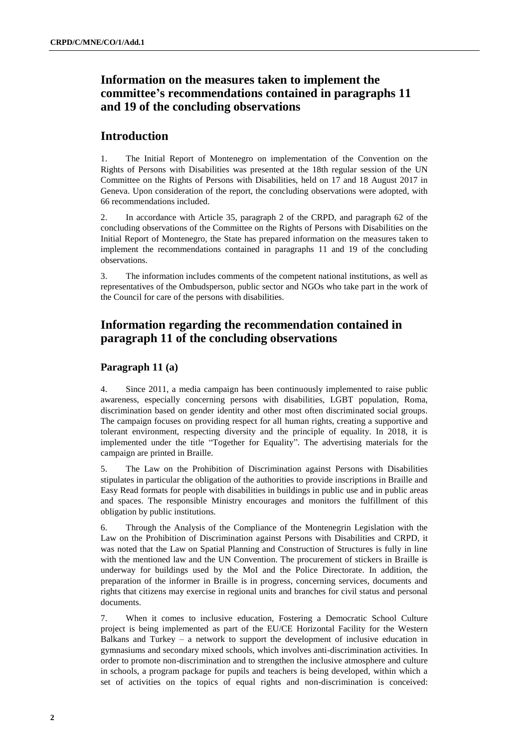## **Information on the measures taken to implement the committee's recommendations contained in paragraphs 11 and 19 of the concluding observations**

## **Introduction**

1. The Initial Report of Montenegro on implementation of the Convention on the Rights of Persons with Disabilities was presented at the 18th regular session of the UN Committee on the Rights of Persons with Disabilities, held on 17 and 18 August 2017 in Geneva. Upon consideration of the report, the concluding observations were adopted, with 66 recommendations included.

2. In accordance with Article 35, paragraph 2 of the CRPD, and paragraph 62 of the concluding observations of the Committee on the Rights of Persons with Disabilities on the Initial Report of Montenegro, the State has prepared information on the measures taken to implement the recommendations contained in paragraphs 11 and 19 of the concluding observations.

3. The information includes comments of the competent national institutions, as well as representatives of the Ombudsperson, public sector and NGOs who take part in the work of the Council for care of the persons with disabilities.

## **Information regarding the recommendation contained in paragraph 11 of the concluding observations**

## **Paragraph 11 (a)**

4. Since 2011, a media campaign has been continuously implemented to raise public awareness, especially concerning persons with disabilities, LGBT population, Roma, discrimination based on gender identity and other most often discriminated social groups. The campaign focuses on providing respect for all human rights, creating a supportive and tolerant environment, respecting diversity and the principle of equality. In 2018, it is implemented under the title "Together for Equality". The advertising materials for the campaign are printed in Braille.

5. The Law on the Prohibition of Discrimination against Persons with Disabilities stipulates in particular the obligation of the authorities to provide inscriptions in Braille and Easy Read formats for people with disabilities in buildings in public use and in public areas and spaces. The responsible Ministry encourages and monitors the fulfillment of this obligation by public institutions.

6. Through the Analysis of the Compliance of the Montenegrin Legislation with the Law on the Prohibition of Discrimination against Persons with Disabilities and CRPD, it was noted that the Law on Spatial Planning and Construction of Structures is fully in line with the mentioned law and the UN Convention. The procurement of stickers in Braille is underway for buildings used by the MoI and the Police Directorate. In addition, the preparation of the informer in Braille is in progress, concerning services, documents and rights that citizens may exercise in regional units and branches for civil status and personal documents.

7. When it comes to inclusive education, Fostering a Democratic School Culture project is being implemented as part of the EU/CE Horizontal Facility for the Western Balkans and Turkey – a network to support the development of inclusive education in gymnasiums and secondary mixed schools, which involves anti-discrimination activities. In order to promote non-discrimination and to strengthen the inclusive atmosphere and culture in schools, a program package for pupils and teachers is being developed, within which a set of activities on the topics of equal rights and non-discrimination is conceived: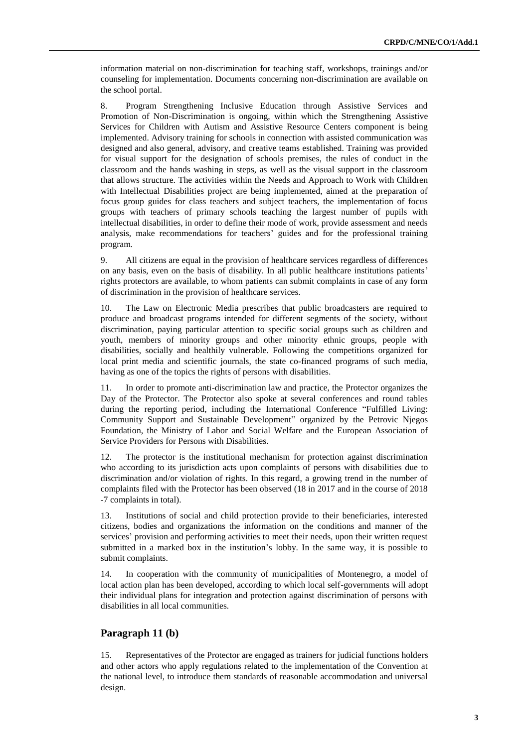information material on non-discrimination for teaching staff, workshops, trainings and/or counseling for implementation. Documents concerning non-discrimination are available on the school portal.

8. Program Strengthening Inclusive Education through Assistive Services and Promotion of Non-Discrimination is ongoing, within which the Strengthening Assistive Services for Children with Autism and Assistive Resource Centers component is being implemented. Advisory training for schools in connection with assisted communication was designed and also general, advisory, and creative teams established. Training was provided for visual support for the designation of schools premises, the rules of conduct in the classroom and the hands washing in steps, as well as the visual support in the classroom that allows structure. The activities within the Needs and Approach to Work with Children with Intellectual Disabilities project are being implemented, aimed at the preparation of focus group guides for class teachers and subject teachers, the implementation of focus groups with teachers of primary schools teaching the largest number of pupils with intellectual disabilities, in order to define their mode of work, provide assessment and needs analysis, make recommendations for teachers' guides and for the professional training program.

9. All citizens are equal in the provision of healthcare services regardless of differences on any basis, even on the basis of disability. In all public healthcare institutions patients' rights protectors are available, to whom patients can submit complaints in case of any form of discrimination in the provision of healthcare services.

10. The Law on Electronic Media prescribes that public broadcasters are required to produce and broadcast programs intended for different segments of the society, without discrimination, paying particular attention to specific social groups such as children and youth, members of minority groups and other minority ethnic groups, people with disabilities, socially and healthily vulnerable. Following the competitions organized for local print media and scientific journals, the state co-financed programs of such media, having as one of the topics the rights of persons with disabilities.

11. In order to promote anti-discrimination law and practice, the Protector organizes the Day of the Protector. The Protector also spoke at several conferences and round tables during the reporting period, including the International Conference "Fulfilled Living: Community Support and Sustainable Development" organized by the Petrovic Njegos Foundation, the Ministry of Labor and Social Welfare and the European Association of Service Providers for Persons with Disabilities.

12. The protector is the institutional mechanism for protection against discrimination who according to its jurisdiction acts upon complaints of persons with disabilities due to discrimination and/or violation of rights. In this regard, a growing trend in the number of complaints filed with the Protector has been observed (18 in 2017 and in the course of 2018 -7 complaints in total).

13. Institutions of social and child protection provide to their beneficiaries, interested citizens, bodies and organizations the information on the conditions and manner of the services' provision and performing activities to meet their needs, upon their written request submitted in a marked box in the institution's lobby. In the same way, it is possible to submit complaints.

14. In cooperation with the community of municipalities of Montenegro, a model of local action plan has been developed, according to which local self-governments will adopt their individual plans for integration and protection against discrimination of persons with disabilities in all local communities.

#### **Paragraph 11 (b)**

15. Representatives of the Protector are engaged as trainers for judicial functions holders and other actors who apply regulations related to the implementation of the Convention at the national level, to introduce them standards of reasonable accommodation and universal design.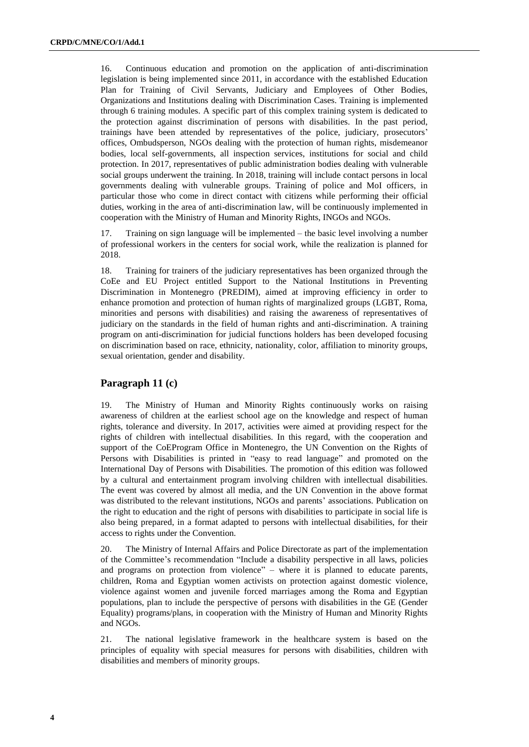16. Continuous education and promotion on the application of anti-discrimination legislation is being implemented since 2011, in accordance with the established Education Plan for Training of Civil Servants, Judiciary and Employees of Other Bodies, Organizations and Institutions dealing with Discrimination Cases. Training is implemented through 6 training modules. A specific part of this complex training system is dedicated to the protection against discrimination of persons with disabilities. In the past period, trainings have been attended by representatives of the police, judiciary, prosecutors' offices, Ombudsperson, NGOs dealing with the protection of human rights, misdemeanor bodies, local self-governments, all inspection services, institutions for social and child protection. In 2017, representatives of public administration bodies dealing with vulnerable social groups underwent the training. In 2018, training will include contact persons in local governments dealing with vulnerable groups. Training of police and MoI officers, in particular those who come in direct contact with citizens while performing their official duties, working in the area of anti-discrimination law, will be continuously implemented in cooperation with the Ministry of Human and Minority Rights, INGOs and NGOs.

17. Training on sign language will be implemented – the basic level involving a number of professional workers in the centers for social work, while the realization is planned for 2018.

18. Training for trainers of the judiciary representatives has been organized through the CoEe and EU Project entitled Support to the National Institutions in Preventing Discrimination in Montenegro (PREDIM), aimed at improving efficiency in order to enhance promotion and protection of human rights of marginalized groups (LGBT, Roma, minorities and persons with disabilities) and raising the awareness of representatives of judiciary on the standards in the field of human rights and anti-discrimination. A training program on anti-discrimination for judicial functions holders has been developed focusing on discrimination based on race, ethnicity, nationality, color, affiliation to minority groups, sexual orientation, gender and disability.

#### **Paragraph 11 (c)**

19. The Ministry of Human and Minority Rights continuously works on raising awareness of children at the earliest school age on the knowledge and respect of human rights, tolerance and diversity. In 2017, activities were aimed at providing respect for the rights of children with intellectual disabilities. In this regard, with the cooperation and support of the CoEProgram Office in Montenegro, the UN Convention on the Rights of Persons with Disabilities is printed in "easy to read language" and promoted on the International Day of Persons with Disabilities. The promotion of this edition was followed by a cultural and entertainment program involving children with intellectual disabilities. The event was covered by almost all media, and the UN Convention in the above format was distributed to the relevant institutions, NGOs and parents' associations. Publication on the right to education and the right of persons with disabilities to participate in social life is also being prepared, in a format adapted to persons with intellectual disabilities, for their access to rights under the Convention.

20. The Ministry of Internal Affairs and Police Directorate as part of the implementation of the Committee's recommendation "Include a disability perspective in all laws, policies and programs on protection from violence" – where it is planned to educate parents, children, Roma and Egyptian women activists on protection against domestic violence, violence against women and juvenile forced marriages among the Roma and Egyptian populations, plan to include the perspective of persons with disabilities in the GE (Gender Equality) programs/plans, in cooperation with the Ministry of Human and Minority Rights and NGOs.

21. The national legislative framework in the healthcare system is based on the principles of equality with special measures for persons with disabilities, children with disabilities and members of minority groups.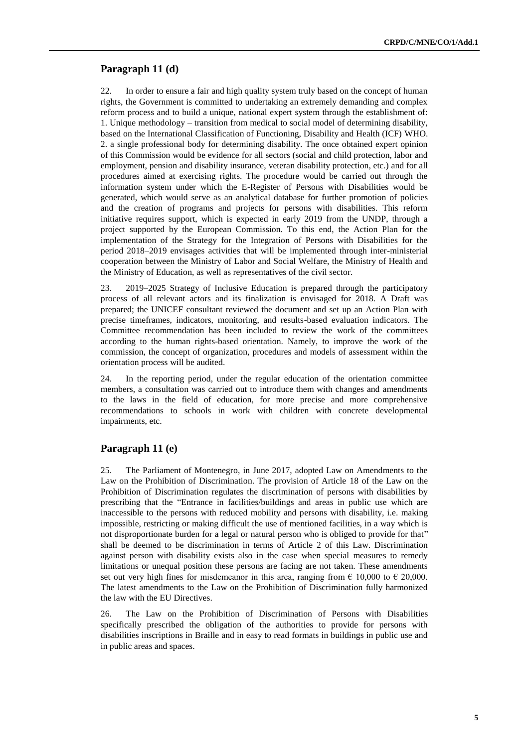#### **Paragraph 11 (d)**

22. In order to ensure a fair and high quality system truly based on the concept of human rights, the Government is committed to undertaking an extremely demanding and complex reform process and to build a unique, national expert system through the establishment of: 1. Unique methodology – transition from medical to social model of determining disability, based on the International Classification of Functioning, Disability and Health (ICF) WHO. 2. a single professional body for determining disability. The once obtained expert opinion of this Commission would be evidence for all sectors (social and child protection, labor and employment, pension and disability insurance, veteran disability protection, etc.) and for all procedures aimed at exercising rights. The procedure would be carried out through the information system under which the E-Register of Persons with Disabilities would be generated, which would serve as an analytical database for further promotion of policies and the creation of programs and projects for persons with disabilities. This reform initiative requires support, which is expected in early 2019 from the UNDP, through a project supported by the European Commission. To this end, the Action Plan for the implementation of the Strategy for the Integration of Persons with Disabilities for the period 2018–2019 envisages activities that will be implemented through inter-ministerial cooperation between the Ministry of Labor and Social Welfare, the Ministry of Health and the Ministry of Education, as well as representatives of the civil sector.

23. 2019–2025 Strategy of Inclusive Education is prepared through the participatory process of all relevant actors and its finalization is envisaged for 2018. A Draft was prepared; the UNICEF consultant reviewed the document and set up an Action Plan with precise timeframes, indicators, monitoring, and results-based evaluation indicators. The Committee recommendation has been included to review the work of the committees according to the human rights-based orientation. Namely, to improve the work of the commission, the concept of organization, procedures and models of assessment within the orientation process will be audited.

24. In the reporting period, under the regular education of the orientation committee members, a consultation was carried out to introduce them with changes and amendments to the laws in the field of education, for more precise and more comprehensive recommendations to schools in work with children with concrete developmental impairments, etc.

#### **Paragraph 11 (e)**

25. The Parliament of Montenegro, in June 2017, adopted Law on Amendments to the Law on the Prohibition of Discrimination. The provision of Article 18 of the Law on the Prohibition of Discrimination regulates the discrimination of persons with disabilities by prescribing that the "Entrance in facilities/buildings and areas in public use which are inaccessible to the persons with reduced mobility and persons with disability, i.e. making impossible, restricting or making difficult the use of mentioned facilities, in a way which is not disproportionate burden for a legal or natural person who is obliged to provide for that" shall be deemed to be discrimination in terms of Article 2 of this Law. Discrimination against person with disability exists also in the case when special measures to remedy limitations or unequal position these persons are facing are not taken. These amendments set out very high fines for misdemeanor in this area, ranging from  $\epsilon$  10,000 to  $\epsilon$  20,000. The latest amendments to the Law on the Prohibition of Discrimination fully harmonized the law with the EU Directives.

26. The Law on the Prohibition of Discrimination of Persons with Disabilities specifically prescribed the obligation of the authorities to provide for persons with disabilities inscriptions in Braille and in easy to read formats in buildings in public use and in public areas and spaces.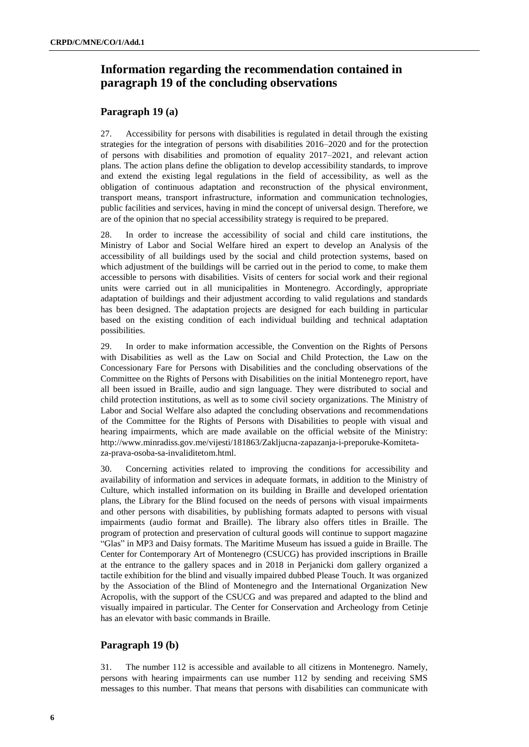# **Information regarding the recommendation contained in paragraph 19 of the concluding observations**

### **Paragraph 19 (a)**

27. Accessibility for persons with disabilities is regulated in detail through the existing strategies for the integration of persons with disabilities 2016–2020 and for the protection of persons with disabilities and promotion of equality 2017–2021, and relevant action plans. The action plans define the obligation to develop accessibility standards, to improve and extend the existing legal regulations in the field of accessibility, as well as the obligation of continuous adaptation and reconstruction of the physical environment, transport means, transport infrastructure, information and communication technologies, public facilities and services, having in mind the concept of universal design. Therefore, we are of the opinion that no special accessibility strategy is required to be prepared.

28. In order to increase the accessibility of social and child care institutions, the Ministry of Labor and Social Welfare hired an expert to develop an Analysis of the accessibility of all buildings used by the social and child protection systems, based on which adjustment of the buildings will be carried out in the period to come, to make them accessible to persons with disabilities. Visits of centers for social work and their regional units were carried out in all municipalities in Montenegro. Accordingly, appropriate adaptation of buildings and their adjustment according to valid regulations and standards has been designed. The adaptation projects are designed for each building in particular based on the existing condition of each individual building and technical adaptation possibilities.

29. In order to make information accessible, the Convention on the Rights of Persons with Disabilities as well as the Law on Social and Child Protection, the Law on the Concessionary Fare for Persons with Disabilities and the concluding observations of the Committee on the Rights of Persons with Disabilities on the initial Montenegro report, have all been issued in Braille, audio and sign language. They were distributed to social and child protection institutions, as well as to some civil society organizations. The Ministry of Labor and Social Welfare also adapted the concluding observations and recommendations of the Committee for the Rights of Persons with Disabilities to people with visual and hearing impairments, which are made available on the official website of the Ministry: http://www.minradiss.gov.me/vijesti/181863/Zakljucna-zapazanja-i-preporuke-Komitetaza-prava-osoba-sa-invaliditetom.html.

30. Concerning activities related to improving the conditions for accessibility and availability of information and services in adequate formats, in addition to the Ministry of Culture, which installed information on its building in Braille and developed orientation plans, the Library for the Blind focused on the needs of persons with visual impairments and other persons with disabilities, by publishing formats adapted to persons with visual impairments (audio format and Braille). The library also offers titles in Braille. The program of protection and preservation of cultural goods will continue to support magazine "Glas" in MP3 and Daisy formats. The Maritime Museum has issued a guide in Braille. The Center for Contemporary Art of Montenegro (CSUCG) has provided inscriptions in Braille at the entrance to the gallery spaces and in 2018 in Perjanicki dom gallery organized a tactile exhibition for the blind and visually impaired dubbed Please Touch. It was organized by the Association of the Blind of Montenegro and the International Organization New Acropolis, with the support of the CSUCG and was prepared and adapted to the blind and visually impaired in particular. The Center for Conservation and Archeology from Cetinje has an elevator with basic commands in Braille.

## **Paragraph 19 (b)**

31. The number 112 is accessible and available to all citizens in Montenegro. Namely, persons with hearing impairments can use number 112 by sending and receiving SMS messages to this number. That means that persons with disabilities can communicate with